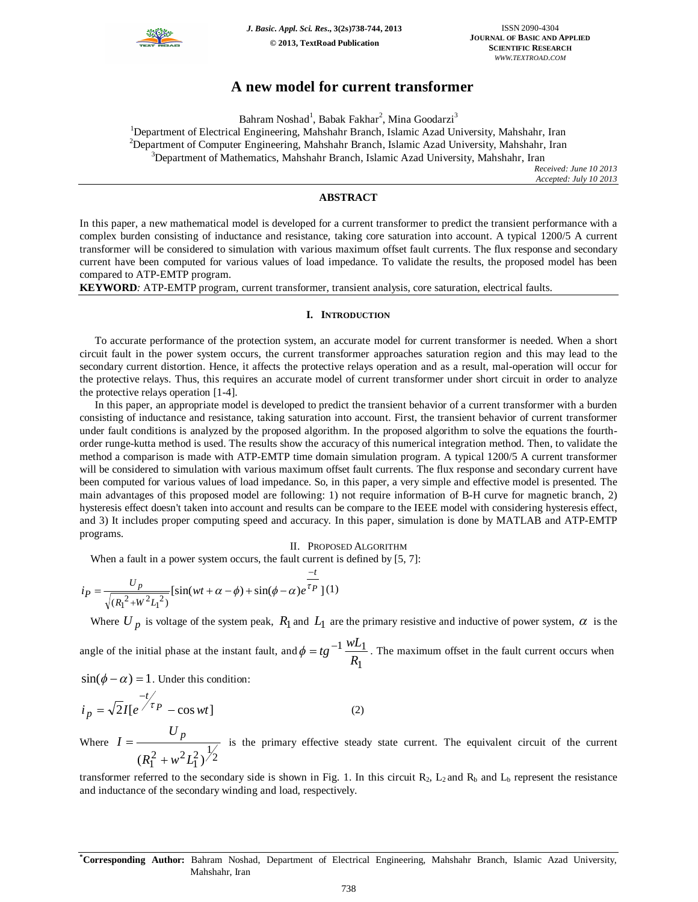

# **A new model for current transformer**

Bahram Noshad $^1$ , Babak Fakhar $^2$ , Mina Goodarzi $^3$ 

<sup>1</sup>Department of Electrical Engineering, Mahshahr Branch, Islamic Azad University, Mahshahr, Iran

 $2$ Department of Computer Engineering, Mahshahr Branch, Islamic Azad University, Mahshahr, Iran <sup>3</sup>Department of Mathematics, Mahshahr Branch, Islamic Azad University, Mahshahr, Iran

> *Received: June 10 2013 Accepted: July 10 2013*

## **ABSTRACT**

In this paper, a new mathematical model is developed for a current transformer to predict the transient performance with a complex burden consisting of inductance and resistance, taking core saturation into account. A typical 1200/5 A current transformer will be considered to simulation with various maximum offset fault currents. The flux response and secondary current have been computed for various values of load impedance. To validate the results, the proposed model has been compared to ATP-EMTP program.

**KEYWORD***:* ATP-EMTP program, current transformer, transient analysis, core saturation, electrical faults.

## **I. INTRODUCTION**

To accurate performance of the protection system, an accurate model for current transformer is needed. When a short circuit fault in the power system occurs, the current transformer approaches saturation region and this may lead to the secondary current distortion. Hence, it affects the protective relays operation and as a result, mal-operation will occur for the protective relays. Thus, this requires an accurate model of current transformer under short circuit in order to analyze the protective relays operation [1-4].

In this paper, an appropriate model is developed to predict the transient behavior of a current transformer with a burden consisting of inductance and resistance, taking saturation into account. First, the transient behavior of current transformer under fault conditions is analyzed by the proposed algorithm. In the proposed algorithm to solve the equations the fourthorder runge-kutta method is used. The results show the accuracy of this numerical integration method. Then, to validate the method a comparison is made with ATP-EMTP time domain simulation program. A typical 1200/5 A current transformer will be considered to simulation with various maximum offset fault currents. The flux response and secondary current have been computed for various values of load impedance. So, in this paper, a very simple and effective model is presented. The main advantages of this proposed model are following: 1) not require information of B-H curve for magnetic branch, 2) hysteresis effect doesn't taken into account and results can be compare to the IEEE model with considering hysteresis effect, and 3) It includes proper computing speed and accuracy. In this paper, simulation is done by MATLAB and ATP-EMTP programs.

II. PROPOSED ALGORITHM

When a fault in a power system occurs, the fault current is defined by [5, 7]:

$$
i_P = \frac{U_p}{\sqrt{(R_1^2 + W^2 L_1^2)}} [\sin(wt + \alpha - \phi) + \sin(\phi - \alpha)e^{\frac{-t}{\tau_P}}](1)
$$

Where  $U_p$  is voltage of the system peak,  $R_1$  and  $L_1$  are the primary resistive and inductive of power system,  $\alpha$  is the

angle of the initial phase at the instant fault, and 1  $1 \underline{wL_1}$ *R*  $\phi = t g^{-1} \frac{wL_1}{g}$ . The maximum offset in the fault current occurs when

 $\sin(\phi - \alpha) = 1$ . Under this condition:

$$
i_p = \sqrt{2}I[e^{\frac{-t}{\tau_p}} - \cos wt]
$$
 (2)

Where  $(R_1^2 + w^2 L_1^2)^{\frac{1}{2}}$ *U*  $I = \frac{U_p}{\sqrt{2\pi}}$  $\ddot{}$  $=\frac{P}{\sqrt{1-\frac{P}{\sqrt{1-\frac{P}{\sqrt{P}}}}}$  is the primary effective steady state current. The equivalent circuit of the current

transformer referred to the secondary side is shown in Fig. 1. In this circuit  $R_2$ ,  $L_2$  and  $R_b$  and  $L_b$  represent the resistance and inductance of the secondary winding and load, respectively.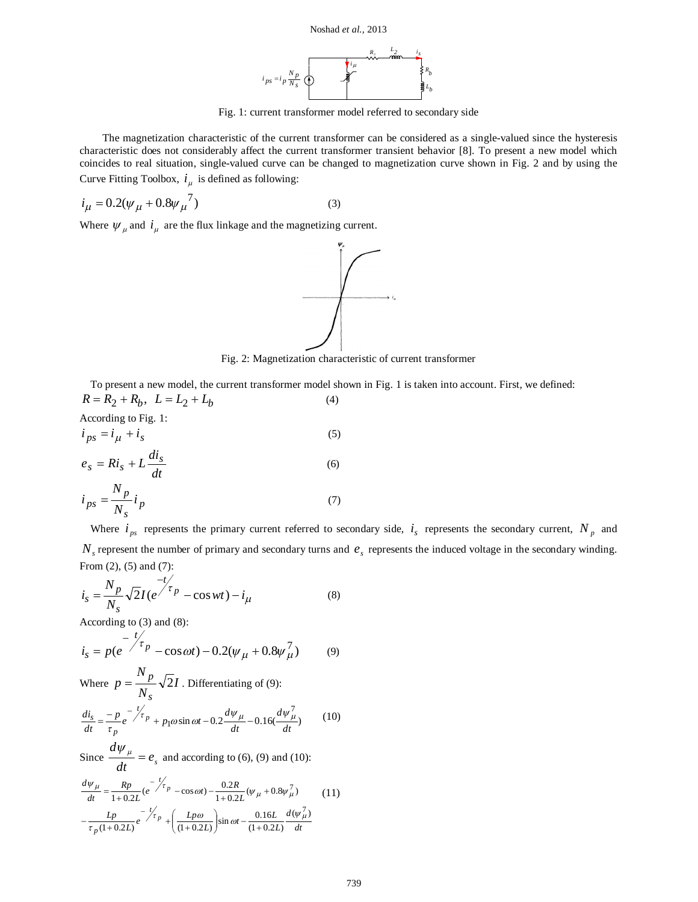



Fig. 1: current transformer model referred to secondary side

The magnetization characteristic of the current transformer can be considered as a single-valued since the hysteresis characteristic does not considerably affect the current transformer transient behavior [8]. To present a new model which coincides to real situation, single-valued curve can be changed to magnetization curve shown in Fig. 2 and by using the Curve Fitting Toolbox,  $i_{\mu}$  is defined as following:

$$
i_{\mu} = 0.2(\psi_{\mu} + 0.8\psi_{\mu}^{7})
$$
 (3)

Where  $\psi_{\mu}$  and  $i_{\mu}$  are the flux linkage and the magnetizing current.



Fig. 2: Magnetization characteristic of current transformer

To present a new model, the current transformer model shown in Fig. 1 is taken into account. First, we defined:  $R = R_2 + R_b, \quad L = L_2 + L_b$ (4)

According to Fig. 1: 
$$
\overline{a}
$$

$$
i_{ps} = i_{\mu} + i_{s}
$$
  
\n
$$
e_{s} = Ri_{s} + L \frac{di_{s}}{dt}
$$
\n(5)

$$
i_{ps} = \frac{N_p}{N_s} i_p \tag{7}
$$

Where  $i_{ps}$  represents the primary current referred to secondary side,  $i_s$  represents the secondary current,  $N_p$  and  $N_s$  represent the number of primary and secondary turns and  $e_s$  represents the induced voltage in the secondary winding. From (2), (5) and (7):

$$
i_{s} = \frac{N_{p}}{N_{s}} \sqrt{2} I (e^{\frac{-t}{\tau_{p}}} - \cos wt) - i_{\mu}
$$
 (8)

According to (3) and (8):

$$
i_s = p(e^{-\frac{t}{\mathcal{J}_p}} - \cos \omega t) - 0.2(\psi_\mu + 0.8\psi_\mu^7)
$$
(9)

Where 
$$
p = \frac{N_p}{N_s} \sqrt{2}I
$$
. Differentiating of (9):  
\n
$$
\frac{di_s}{dt} = \frac{-p}{\tau_p} e^{-\frac{t'}{\tau_p}} + p_1 \omega \sin \omega t - 0.2 \frac{d\psi_\mu}{dt} - 0.16(\frac{d\psi_\mu^7}{dt})
$$
(10)

Since 
$$
\frac{d\psi_{\mu}}{dt} = e_s
$$
 and according to (6), (9) and (10):

$$
\frac{d\psi_{\mu}}{dt} = \frac{Rp}{1+0.2L} (e^{-\frac{t}{\gamma_{\tau}}} - \cos \omega t) - \frac{0.2R}{1+0.2L} (\psi_{\mu} + 0.8\psi_{\mu}^{7})
$$
(11)  

$$
-\frac{Lp}{\tau_{p}(1+0.2L)} e^{-\frac{t}{\gamma_{\tau}}} + \left(\frac{Lp\omega}{(1+0.2L)}\right) \sin \omega t - \frac{0.16L}{(1+0.2L)} \frac{d(\psi_{\mu}^{7})}{dt}
$$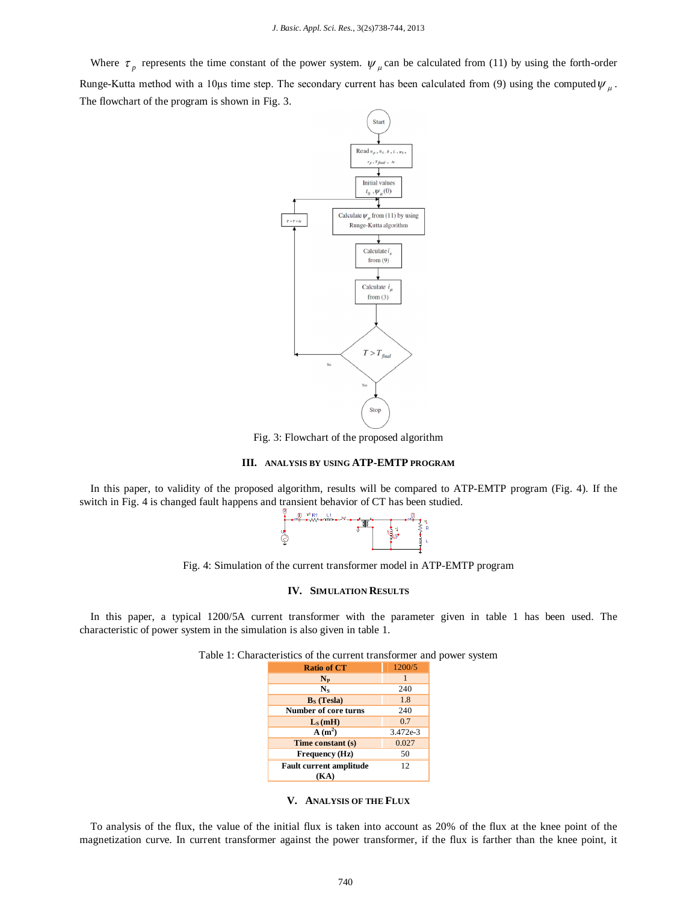Where  $\tau_p$  represents the time constant of the power system.  $\psi_\mu$  can be calculated from (11) by using the forth-order Runge-Kutta method with a 10 µs time step. The secondary current has been calculated from (9) using the computed  $\psi_{\mu}$ . The flowchart of the program is shown in Fig. 3.



Fig. 3: Flowchart of the proposed algorithm

## **III. ANALYSIS BY USING ATP-EMTP PROGRAM**

In this paper, to validity of the proposed algorithm, results will be compared to ATP-EMTP program (Fig. 4). If the switch in Fig. 4 is changed fault happens and transient behavior of CT has been studied.



Fig. 4: Simulation of the current transformer model in ATP-EMTP program

## **IV. SIMULATION RESULTS**

In this paper, a typical 1200/5A current transformer with the parameter given in table 1 has been used. The characteristic of power system in the simulation is also given in table 1.

| <b>Ratio of CT</b>             | 1200/5   |
|--------------------------------|----------|
| $N_{P}$                        |          |
| $N_{S}$                        | 240      |
| $B_s$ (Tesla)                  | 1.8      |
| Number of core turns           | 240      |
| $L_s(mH)$                      | 0.7      |
| $A(m^2)$                       | 3.472e-3 |
| Time constant (s)              | 0.027    |
| Frequency (Hz)                 | 50       |
| <b>Fault current amplitude</b> | 12       |
| KA)                            |          |

Table 1: Characteristics of the current transformer and power system

To analysis of the flux, the value of the initial flux is taken into account as 20% of the flux at the knee point of the magnetization curve. In current transformer against the power transformer, if the flux is farther than the knee point, it

**V. ANALYSIS OF THE FLUX**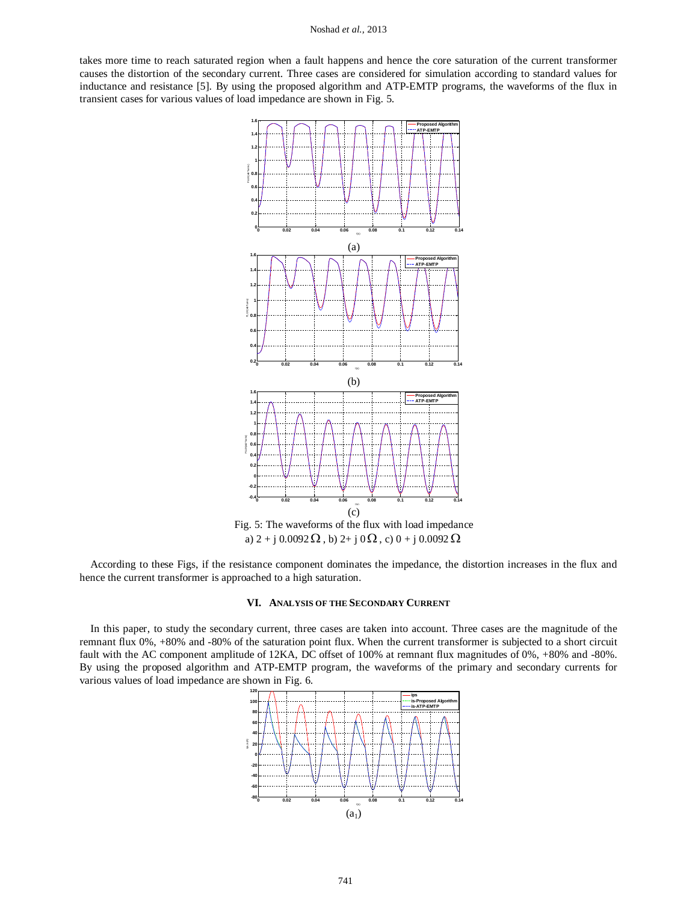#### Noshad *et al.,* 2013

takes more time to reach saturated region when a fault happens and hence the core saturation of the current transformer causes the distortion of the secondary current. Three cases are considered for simulation according to standard values for inductance and resistance [5]. By using the proposed algorithm and ATP-EMTP programs, the waveforms of the flux in transient cases for various values of load impedance are shown in Fig. 5.



Fig. 5: The waveforms of the flux with load impedance a)  $2 + j 0.0092 \Omega$ , b)  $2 + j 0 \Omega$ , c)  $0 + j 0.0092 \Omega$ 

According to these Figs, if the resistance component dominates the impedance, the distortion increases in the flux and hence the current transformer is approached to a high saturation.

## **VI. ANALYSIS OF THE SECONDARY CURRENT**

In this paper, to study the secondary current, three cases are taken into account. Three cases are the magnitude of the remnant flux 0%, +80% and -80% of the saturation point flux. When the current transformer is subjected to a short circuit fault with the AC component amplitude of 12KA, DC offset of 100% at remnant flux magnitudes of 0%, +80% and -80%. By using the proposed algorithm and ATP-EMTP program, the waveforms of the primary and secondary currents for various values of load impedance are shown in Fig. 6.

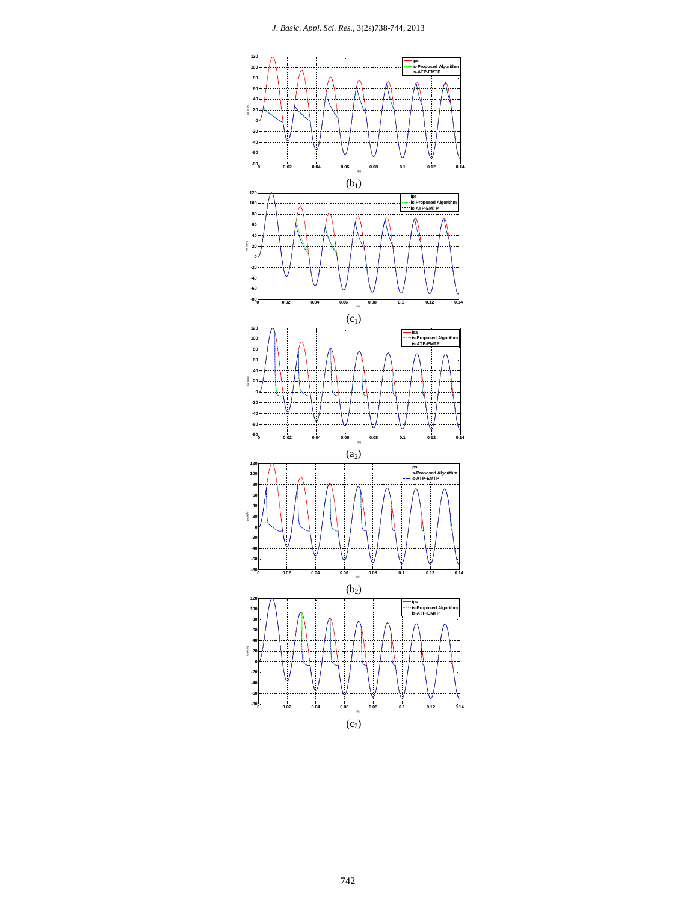

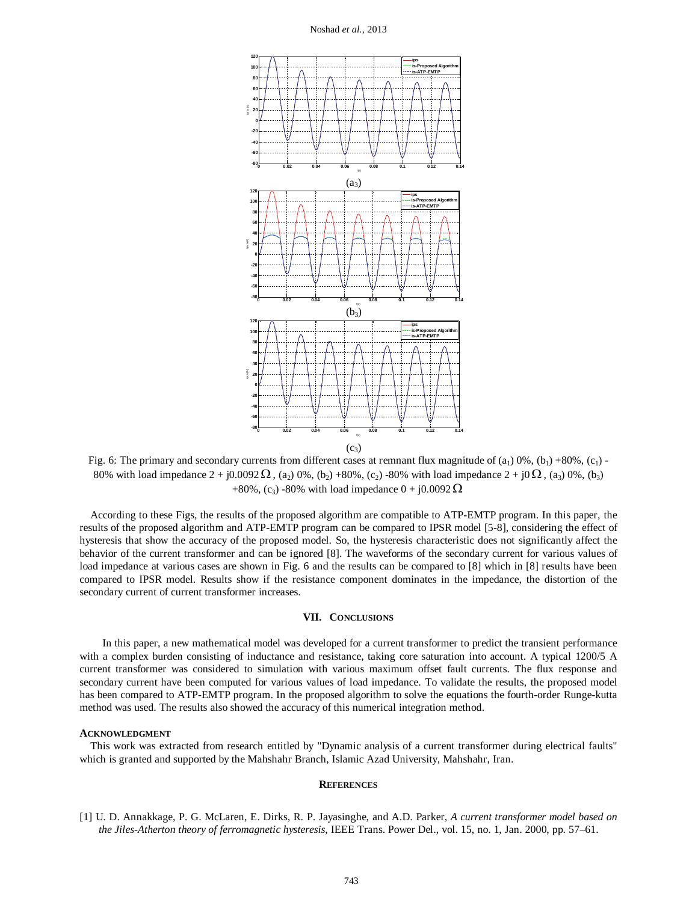Noshad *et al.,* 2013



Fig. 6: The primary and secondary currents from different cases at remnant flux magnitude of  $(a_1)$  0%,  $(b_1)$  +80%,  $(c_1)$  -80% with load impedance  $2 + j0.0092 \Omega$ , (a<sub>2</sub>) 0%, (b<sub>2</sub>) +80%, (c<sub>2</sub>) -80% with load impedance  $2 + j0 \Omega$ , (a<sub>3</sub>) 0%, (b<sub>3</sub>) +80%, (c<sub>3</sub>) -80% with load impedance  $0 + j0.0092 \Omega$ 

According to these Figs, the results of the proposed algorithm are compatible to ATP-EMTP program. In this paper, the results of the proposed algorithm and ATP-EMTP program can be compared to IPSR model [5-8], considering the effect of hysteresis that show the accuracy of the proposed model. So, the hysteresis characteristic does not significantly affect the behavior of the current transformer and can be ignored [8]. The waveforms of the secondary current for various values of load impedance at various cases are shown in Fig. 6 and the results can be compared to [8] which in [8] results have been compared to IPSR model. Results show if the resistance component dominates in the impedance, the distortion of the secondary current of current transformer increases.

## **VII. CONCLUSIONS**

In this paper, a new mathematical model was developed for a current transformer to predict the transient performance with a complex burden consisting of inductance and resistance, taking core saturation into account. A typical 1200/5 A current transformer was considered to simulation with various maximum offset fault currents. The flux response and secondary current have been computed for various values of load impedance. To validate the results, the proposed model has been compared to ATP-EMTP program. In the proposed algorithm to solve the equations the fourth-order Runge-kutta method was used. The results also showed the accuracy of this numerical integration method.

## **ACKNOWLEDGMENT**

This work was extracted from research entitled by "Dynamic analysis of a current transformer during electrical faults" which is granted and supported by the Mahshahr Branch, Islamic Azad University, Mahshahr, Iran.

## **REFERENCES**

[1] U. D. Annakkage, P. G. McLaren, E. Dirks, R. P. Jayasinghe, and A.D. Parker, *A current transformer model based on the Jiles-Atherton theory of ferromagnetic hysteresis*, IEEE Trans. Power Del., vol. 15, no. 1, Jan. 2000, pp. 57–61.